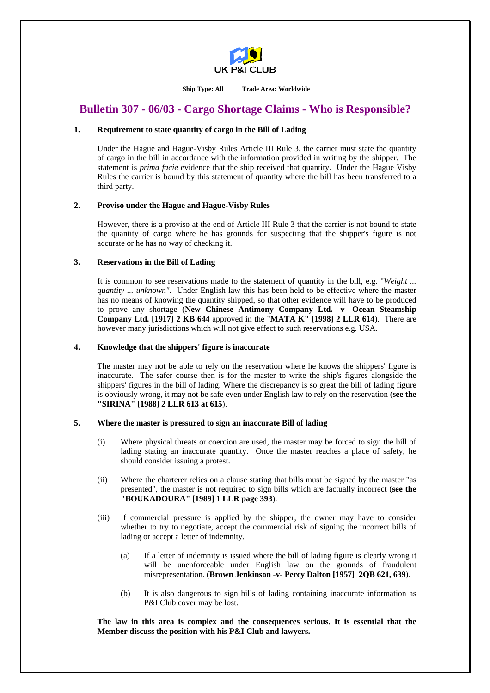

**Ship Type: All Trade Area: Worldwide** 

# **Bulletin 307 - 06/03 - Cargo Shortage Claims - Who is Responsible?**

#### **1. Requirement to state quantity of cargo in the Bill of Lading**

 Under the Hague and Hague-Visby Rules Article III Rule 3, the carrier must state the quantity of cargo in the bill in accordance with the information provided in writing by the shipper. The statement is *prima facie* evidence that the ship received that quantity. Under the Hague Visby Rules the carrier is bound by this statement of quantity where the bill has been transferred to a third party.

#### **2. Proviso under the Hague and Hague-Visby Rules**

 However, there is a proviso at the end of Article III Rule 3 that the carrier is not bound to state the quantity of cargo where he has grounds for suspecting that the shipper's figure is not accurate or he has no way of checking it.

#### **3. Reservations in the Bill of Lading**

 It is common to see reservations made to the statement of quantity in the bill, e.g. "*Weight ... quantity ... unknown"*. Under English law this has been held to be effective where the master has no means of knowing the quantity shipped, so that other evidence will have to be produced to prove any shortage (**New Chinese Antimony Company Ltd. -v- Ocean Steamship Company Ltd. [1917] 2 KB 644** approved in the "**MATA K" [1998] 2 LLR 614**). There are however many jurisdictions which will not give effect to such reservations e.g. USA.

#### **4. Knowledge that the shippers' figure is inaccurate**

 The master may not be able to rely on the reservation where he knows the shippers' figure is inaccurate. The safer course then is for the master to write the ship's figures alongside the shippers' figures in the bill of lading. Where the discrepancy is so great the bill of lading figure is obviously wrong, it may not be safe even under English law to rely on the reservation (**see the "SIRINA" [1988] 2 LLR 613 at 615**).

## **5. Where the master is pressured to sign an inaccurate Bill of lading**

- (i) Where physical threats or coercion are used, the master may be forced to sign the bill of lading stating an inaccurate quantity. Once the master reaches a place of safety, he should consider issuing a protest.
- (ii) Where the charterer relies on a clause stating that bills must be signed by the master "as presented", the master is not required to sign bills which are factually incorrect (**see the "BOUKADOURA" [1989] 1 LLR page 393**).
- (iii) If commercial pressure is applied by the shipper, the owner may have to consider whether to try to negotiate, accept the commercial risk of signing the incorrect bills of lading or accept a letter of indemnity.
	- (a) If a letter of indemnity is issued where the bill of lading figure is clearly wrong it will be unenforceable under English law on the grounds of fraudulent misrepresentation. (**Brown Jenkinson -v- Percy Dalton [1957] 2QB 621, 639**).
	- (b) It is also dangerous to sign bills of lading containing inaccurate information as P&I Club cover may be lost.

**The law in this area is complex and the consequences serious. It is essential that the Member discuss the position with his P&I Club and lawyers.**